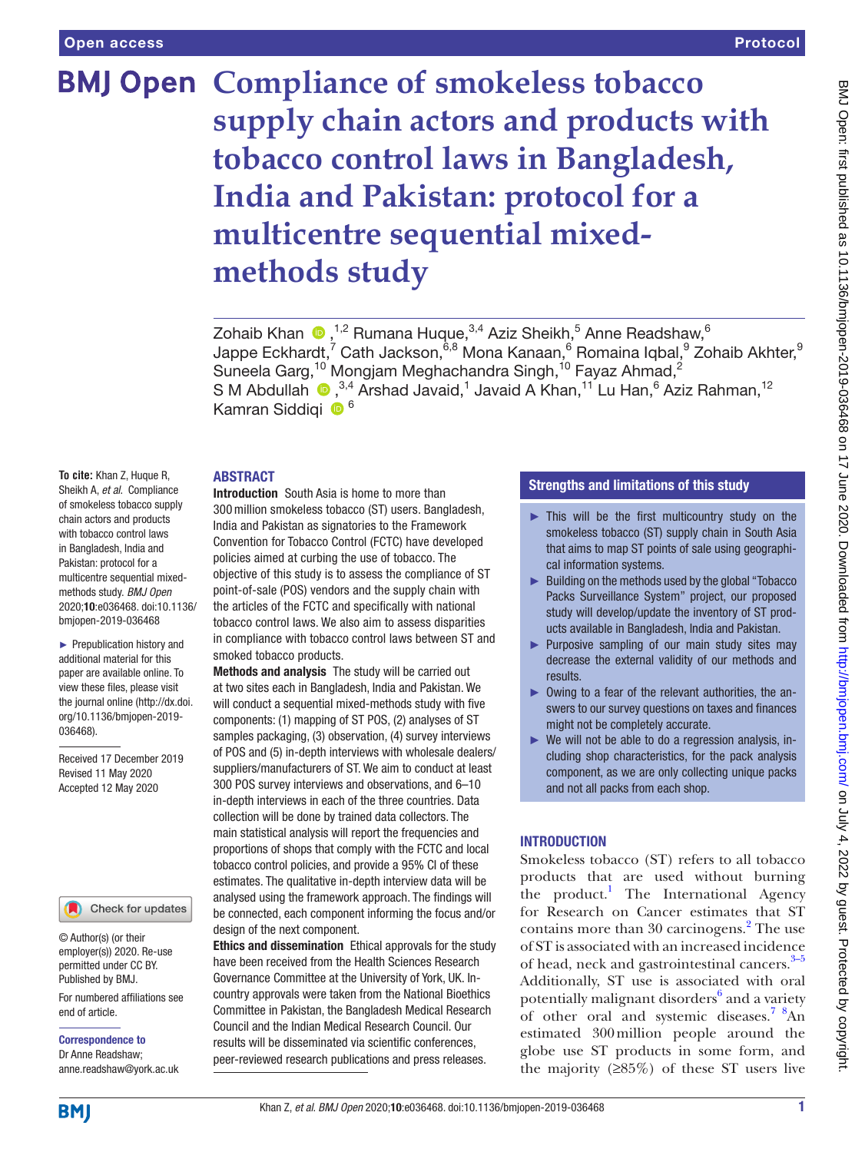# **BMJ Open Compliance of smokeless tobacco supply chain actors and products with tobacco control laws in Bangladesh, India and Pakistan: protocol for a multicentre sequential mixedmethods study**

ZohaibKhan  $\bigcirc$  ,<sup>1,2</sup> Rumana Huque,<sup>3,4</sup> Aziz Sheikh,<sup>5</sup> Anne Readshaw,<sup>6</sup> Jappe Eckhardt, $^7$  Cath Jackson, $^{6,8}$  Mona Kanaan, $^6$  Romaina Iqbal, $^9$  Zohaib Akhter, $^{\rm g}$ Suneela Garg, $^{10}$  Mongjam Meghachandra Singh, $^{10}$  Fayaz Ahmad, $^{2}$ S M Abdullah  $\bigcirc$ ,<sup>3,4</sup> Arshad Javaid,<sup>1</sup> Javaid A Khan,<sup>11</sup> Lu Han,<sup>6</sup> Aziz Rahman,<sup>12</sup> Kamran Siddigi 6

### **ABSTRACT**

**To cite:** Khan Z, Huque R, Sheikh A, *et al*. Compliance of smokeless tobacco supply chain actors and products with tobacco control laws in Bangladesh, India and Pakistan: protocol for a multicentre sequential mixedmethods study. *BMJ Open* 2020;10:e036468. doi:10.1136/ bmjopen-2019-036468

► Prepublication history and additional material for this paper are available online. To view these files, please visit the journal online (http://dx.doi. org/10.1136/bmjopen-2019- 036468).

Received 17 December 2019 Revised 11 May 2020 Accepted 12 May 2020

### Check for updates

© Author(s) (or their employer(s)) 2020. Re-use permitted under CC BY. Published by BMJ.

For numbered affiliations see end of article.

Correspondence to Dr Anne Readshaw; anne.readshaw@york.ac.uk Introduction South Asia is home to more than 300 million smokeless tobacco (ST) users. Bangladesh, India and Pakistan as signatories to the Framework Convention for Tobacco Control (FCTC) have developed policies aimed at curbing the use of tobacco. The objective of this study is to assess the compliance of ST point-of-sale (POS) vendors and the supply chain with the articles of the FCTC and specifically with national tobacco control laws. We also aim to assess disparities in compliance with tobacco control laws between ST and smoked tobacco products.

Methods and analysis The study will be carried out at two sites each in Bangladesh, India and Pakistan. We will conduct a sequential mixed-methods study with five components: (1) mapping of ST POS, (2) analyses of ST samples packaging, (3) observation, (4) survey interviews of POS and (5) in-depth interviews with wholesale dealers/ suppliers/manufacturers of ST. We aim to conduct at least 300 POS survey interviews and observations, and 6–10 in-depth interviews in each of the three countries. Data collection will be done by trained data collectors. The main statistical analysis will report the frequencies and proportions of shops that comply with the FCTC and local tobacco control policies, and provide a 95% CI of these estimates. The qualitative in-depth interview data will be analysed using the framework approach. The findings will be connected, each component informing the focus and/or design of the next component.

Ethics and dissemination Ethical approvals for the study have been received from the Health Sciences Research Governance Committee at the University of York, UK. Incountry approvals were taken from the National Bioethics Committee in Pakistan, the Bangladesh Medical Research Council and the Indian Medical Research Council. Our results will be disseminated via scientific conferences, peer-reviewed research publications and press releases.

### Strengths and limitations of this study

- ► This will be the first multicountry study on the smokeless tobacco (ST) supply chain in South Asia that aims to map ST points of sale using geographical information systems.
- ► Building on the methods used by the global "Tobacco Packs Surveillance System" project, our proposed study will develop/update the inventory of ST products available in Bangladesh, India and Pakistan.
- ► Purposive sampling of our main study sites may decrease the external validity of our methods and results.
- ► Owing to a fear of the relevant authorities, the answers to our survey questions on taxes and finances might not be completely accurate.
- ► We will not be able to do a regression analysis, including shop characteristics, for the pack analysis component, as we are only collecting unique packs and not all packs from each shop.

### **INTRODUCTION**

Smokeless tobacco (ST) refers to all tobacco products that are used without burning the product.<sup>[1](#page-6-0)</sup> The International Agency for Research on Cancer estimates that ST contains more than 30 carcinogens.<sup>[2](#page-6-1)</sup> The use of ST is associated with an increased incidence of head, neck and gastrointestinal cancers.<sup>[3–5](#page-6-2)</sup> Additionally, ST use is associated with oral potentially malignant disorders<sup>6</sup> and a variety of other oral and systemic diseases.[7 8](#page-6-4)An estimated 300million people around the globe use ST products in some form, and the majority  $(≥85%)$  of these ST users live

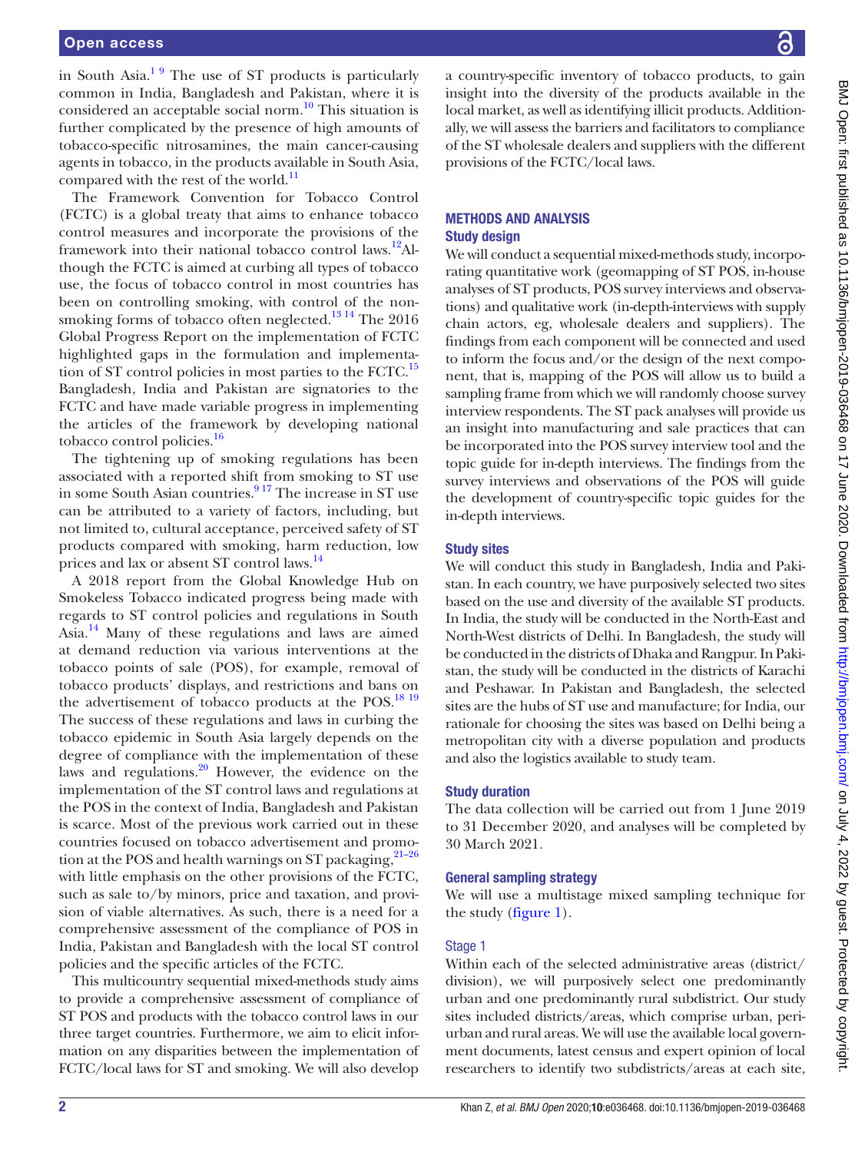in South Asia. $19$  The use of ST products is particularly common in India, Bangladesh and Pakistan, where it is considered an acceptable social norm[.10](#page-6-5) This situation is further complicated by the presence of high amounts of tobacco-specific nitrosamines, the main cancer-causing agents in tobacco, in the products available in South Asia, compared with the rest of the world.<sup>[11](#page-6-6)</sup>

The Framework Convention for Tobacco Control (FCTC) is a global treaty that aims to enhance tobacco control measures and incorporate the provisions of the framework into their national tobacco control laws.<sup>12</sup>Although the FCTC is aimed at curbing all types of tobacco use, the focus of tobacco control in most countries has been on controlling smoking, with control of the non-smoking forms of tobacco often neglected.<sup>[13 14](#page-6-8)</sup> The 2016 Global Progress Report on the implementation of FCTC highlighted gaps in the formulation and implementation of ST control policies in most parties to the FCTC.<sup>15</sup> Bangladesh, India and Pakistan are signatories to the FCTC and have made variable progress in implementing the articles of the framework by developing national tobacco control policies.<sup>[16](#page-6-10)</sup>

The tightening up of smoking regulations has been associated with a reported shift from smoking to ST use in some South Asian countries.<sup>917</sup> The increase in ST use can be attributed to a variety of factors, including, but not limited to, cultural acceptance, perceived safety of ST products compared with smoking, harm reduction, low prices and lax or absent ST control laws.<sup>14</sup>

A 2018 report from the Global Knowledge Hub on Smokeless Tobacco indicated progress being made with regards to ST control policies and regulations in South Asia.[14](#page-6-12) Many of these regulations and laws are aimed at demand reduction via various interventions at the tobacco points of sale (POS), for example, removal of tobacco products' displays, and restrictions and bans on the advertisement of tobacco products at the POS.<sup>[18 19](#page-6-13)</sup> The success of these regulations and laws in curbing the tobacco epidemic in South Asia largely depends on the degree of compliance with the implementation of these laws and regulations. $^{20}$  However, the evidence on the implementation of the ST control laws and regulations at the POS in the context of India, Bangladesh and Pakistan is scarce. Most of the previous work carried out in these countries focused on tobacco advertisement and promotion at the POS and health warnings on ST packaging, <sup>21-26</sup> with little emphasis on the other provisions of the FCTC, such as sale to/by minors, price and taxation, and provision of viable alternatives. As such, there is a need for a comprehensive assessment of the compliance of POS in India, Pakistan and Bangladesh with the local ST control policies and the specific articles of the FCTC.

This multicountry sequential mixed-methods study aims to provide a comprehensive assessment of compliance of ST POS and products with the tobacco control laws in our three target countries. Furthermore, we aim to elicit information on any disparities between the implementation of FCTC/local laws for ST and smoking. We will also develop

a country-specific inventory of tobacco products, to gain insight into the diversity of the products available in the local market, as well as identifying illicit products. Additionally, we will assess the barriers and facilitators to compliance of the ST wholesale dealers and suppliers with the different provisions of the FCTC/local laws.

### Methods and analysis Study design

We will conduct a sequential mixed-methods study, incorporating quantitative work (geomapping of ST POS, in-house analyses of ST products, POS survey interviews and observations) and qualitative work (in-depth-interviews with supply chain actors, eg, wholesale dealers and suppliers). The findings from each component will be connected and used to inform the focus and/or the design of the next component, that is, mapping of the POS will allow us to build a sampling frame from which we will randomly choose survey interview respondents. The ST pack analyses will provide us an insight into manufacturing and sale practices that can be incorporated into the POS survey interview tool and the topic guide for in-depth interviews. The findings from the survey interviews and observations of the POS will guide the development of country-specific topic guides for the in-depth interviews.

### Study sites

We will conduct this study in Bangladesh, India and Pakistan. In each country, we have purposively selected two sites based on the use and diversity of the available ST products. In India, the study will be conducted in the North-East and North-West districts of Delhi. In Bangladesh, the study will be conducted in the districts of Dhaka and Rangpur. In Pakistan, the study will be conducted in the districts of Karachi and Peshawar. In Pakistan and Bangladesh, the selected sites are the hubs of ST use and manufacture; for India, our rationale for choosing the sites was based on Delhi being a metropolitan city with a diverse population and products and also the logistics available to study team.

### Study duration

The data collection will be carried out from 1 June 2019 to 31 December 2020, and analyses will be completed by 30 March 2021.

### General sampling strategy

We will use a multistage mixed sampling technique for the study [\(figure](#page-2-0) 1).

### Stage 1

Within each of the selected administrative areas (district/ division), we will purposively select one predominantly urban and one predominantly rural subdistrict. Our study sites included districts/areas, which comprise urban, periurban and rural areas. We will use the available local government documents, latest census and expert opinion of local researchers to identify two subdistricts/areas at each site,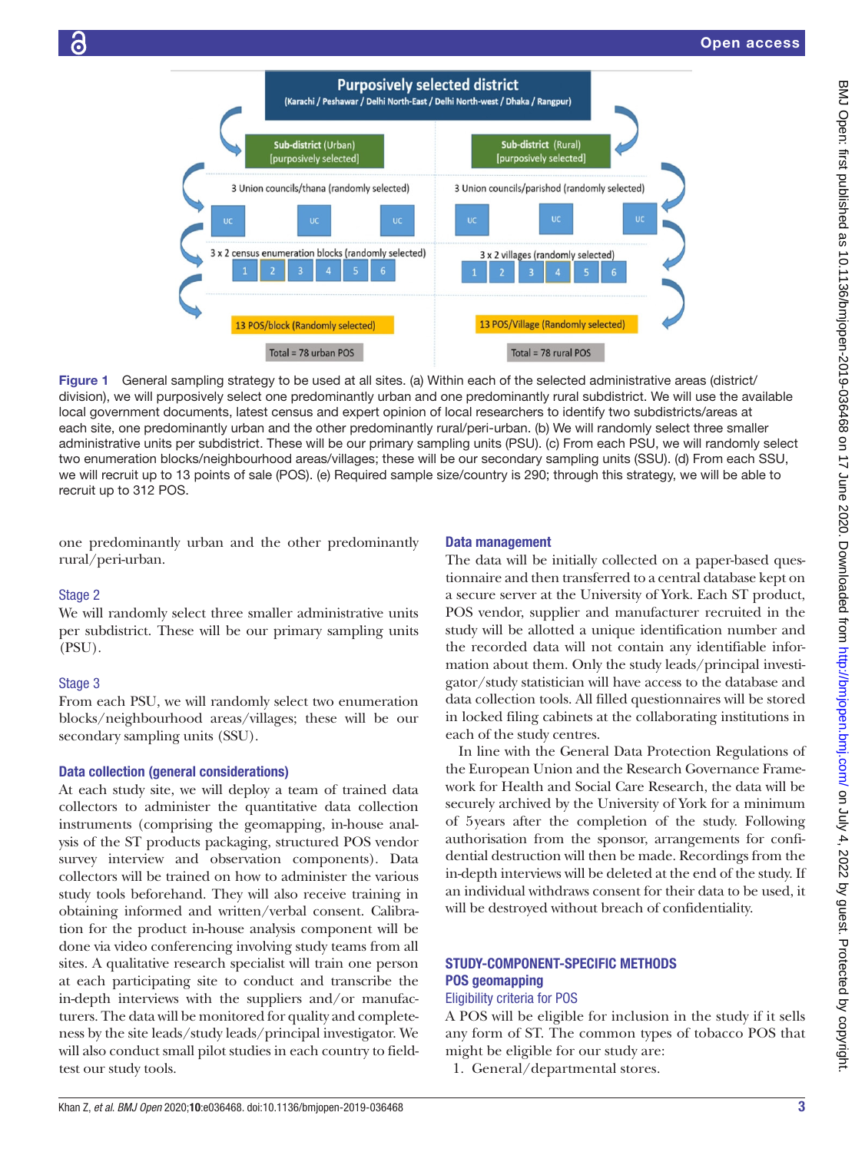

<span id="page-2-0"></span>Figure 1 General sampling strategy to be used at all sites. (a) Within each of the selected administrative areas (district/ division), we will purposively select one predominantly urban and one predominantly rural subdistrict. We will use the available local government documents, latest census and expert opinion of local researchers to identify two subdistricts/areas at each site, one predominantly urban and the other predominantly rural/peri-urban. (b) We will randomly select three smaller administrative units per subdistrict. These will be our primary sampling units (PSU). (c) From each PSU, we will randomly select two enumeration blocks/neighbourhood areas/villages; these will be our secondary sampling units (SSU). (d) From each SSU, we will recruit up to 13 points of sale (POS). (e) Required sample size/country is 290; through this strategy, we will be able to recruit up to 312 POS.

one predominantly urban and the other predominantly rural/peri-urban.

### Stage 2

We will randomly select three smaller administrative units per subdistrict. These will be our primary sampling units (PSU).

### Stage 3

From each PSU, we will randomly select two enumeration blocks/neighbourhood areas/villages; these will be our secondary sampling units (SSU).

### Data collection (general considerations)

At each study site, we will deploy a team of trained data collectors to administer the quantitative data collection instruments (comprising the geomapping, in-house analysis of the ST products packaging, structured POS vendor survey interview and observation components). Data collectors will be trained on how to administer the various study tools beforehand. They will also receive training in obtaining informed and written/verbal consent. Calibration for the product in-house analysis component will be done via video conferencing involving study teams from all sites. A qualitative research specialist will train one person at each participating site to conduct and transcribe the in-depth interviews with the suppliers and/or manufacturers. The data will be monitored for quality and completeness by the site leads/study leads/principal investigator. We will also conduct small pilot studies in each country to fieldtest our study tools.

### Data management

The data will be initially collected on a paper-based questionnaire and then transferred to a central database kept on a secure server at the University of York. Each ST product, POS vendor, supplier and manufacturer recruited in the study will be allotted a unique identification number and the recorded data will not contain any identifiable information about them. Only the study leads/principal investigator/study statistician will have access to the database and data collection tools. All filled questionnaires will be stored in locked filing cabinets at the collaborating institutions in each of the study centres.

In line with the General Data Protection Regulations of the European Union and the Research Governance Framework for Health and Social Care Research, the data will be securely archived by the University of York for a minimum of 5years after the completion of the study. Following authorisation from the sponsor, arrangements for confidential destruction will then be made. Recordings from the in-depth interviews will be deleted at the end of the study. If an individual withdraws consent for their data to be used, it will be destroyed without breach of confidentiality.

# Study-component-specific methods POS geomapping

### Eligibility criteria for POS

A POS will be eligible for inclusion in the study if it sells any form of ST. The common types of tobacco POS that might be eligible for our study are:

1. General/departmental stores.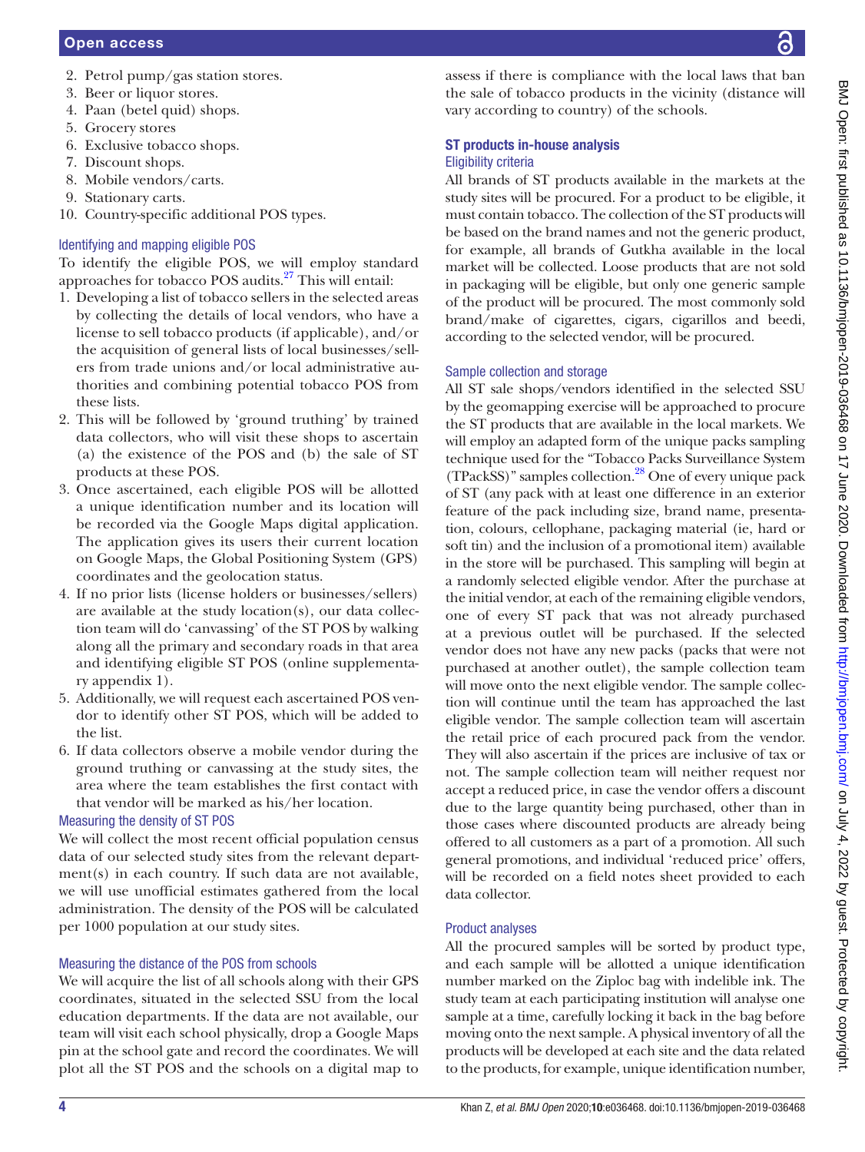- 2. Petrol pump/gas station stores.
- 3. Beer or liquor stores.
- 4. Paan (betel quid) shops.
- 5. Grocery stores
- 6. Exclusive tobacco shops.
- 7. Discount shops.
- 8. Mobile vendors/carts.
- 9. Stationary carts.
- 10. Country-specific additional POS types.

### Identifying and mapping eligible POS

To identify the eligible POS, we will employ standard approaches for tobacco POS audits[.27](#page-6-16) This will entail:

- 1. Developing a list of tobacco sellers in the selected areas by collecting the details of local vendors, who have a license to sell tobacco products (if applicable), and/or the acquisition of general lists of local businesses/sellers from trade unions and/or local administrative authorities and combining potential tobacco POS from these lists.
- 2. This will be followed by 'ground truthing' by trained data collectors, who will visit these shops to ascertain (a) the existence of the POS and (b) the sale of ST products at these POS.
- 3. Once ascertained, each eligible POS will be allotted a unique identification number and its location will be recorded via the Google Maps digital application. The application gives its users their current location on Google Maps, the Global Positioning System (GPS) coordinates and the geolocation status.
- 4. If no prior lists (license holders or businesses/sellers) are available at the study location(s), our data collection team will do 'canvassing' of the ST POS by walking along all the primary and secondary roads in that area and identifying eligible ST POS [\(online supplementa](https://dx.doi.org/10.1136/bmjopen-2019-036468)[ry appendix 1](https://dx.doi.org/10.1136/bmjopen-2019-036468)).
- 5. Additionally, we will request each ascertained POS vendor to identify other ST POS, which will be added to the list.
- 6. If data collectors observe a mobile vendor during the ground truthing or canvassing at the study sites, the area where the team establishes the first contact with that vendor will be marked as his/her location.

### Measuring the density of ST POS

We will collect the most recent official population census data of our selected study sites from the relevant department(s) in each country. If such data are not available, we will use unofficial estimates gathered from the local administration. The density of the POS will be calculated per 1000 population at our study sites.

# Measuring the distance of the POS from schools

We will acquire the list of all schools along with their GPS coordinates, situated in the selected SSU from the local education departments. If the data are not available, our team will visit each school physically, drop a Google Maps pin at the school gate and record the coordinates. We will plot all the ST POS and the schools on a digital map to

assess if there is compliance with the local laws that ban the sale of tobacco products in the vicinity (distance will vary according to country) of the schools.

# ST products in-house analysis

# Eligibility criteria

All brands of ST products available in the markets at the study sites will be procured. For a product to be eligible, it must contain tobacco. The collection of the ST products will be based on the brand names and not the generic product, for example, all brands of Gutkha available in the local market will be collected. Loose products that are not sold in packaging will be eligible, but only one generic sample of the product will be procured. The most commonly sold brand/make of cigarettes, cigars, cigarillos and beedi, according to the selected vendor, will be procured.

### Sample collection and storage

All ST sale shops/vendors identified in the selected SSU by the geomapping exercise will be approached to procure the ST products that are available in the local markets. We will employ an adapted form of the unique packs sampling technique used for the "Tobacco Packs Surveillance System (TPackSS)" samples collection[.28](#page-6-17) One of every unique pack of ST (any pack with at least one difference in an exterior feature of the pack including size, brand name, presentation, colours, cellophane, packaging material (ie, hard or soft tin) and the inclusion of a promotional item) available in the store will be purchased. This sampling will begin at a randomly selected eligible vendor. After the purchase at the initial vendor, at each of the remaining eligible vendors, one of every ST pack that was not already purchased at a previous outlet will be purchased. If the selected vendor does not have any new packs (packs that were not purchased at another outlet), the sample collection team will move onto the next eligible vendor. The sample collection will continue until the team has approached the last eligible vendor. The sample collection team will ascertain the retail price of each procured pack from the vendor. They will also ascertain if the prices are inclusive of tax or not. The sample collection team will neither request nor accept a reduced price, in case the vendor offers a discount due to the large quantity being purchased, other than in those cases where discounted products are already being offered to all customers as a part of a promotion. All such general promotions, and individual 'reduced price' offers, will be recorded on a field notes sheet provided to each data collector.

# Product analyses

All the procured samples will be sorted by product type, and each sample will be allotted a unique identification number marked on the Ziploc bag with indelible ink. The study team at each participating institution will analyse one sample at a time, carefully locking it back in the bag before moving onto the next sample. A physical inventory of all the products will be developed at each site and the data related to the products, for example, unique identification number,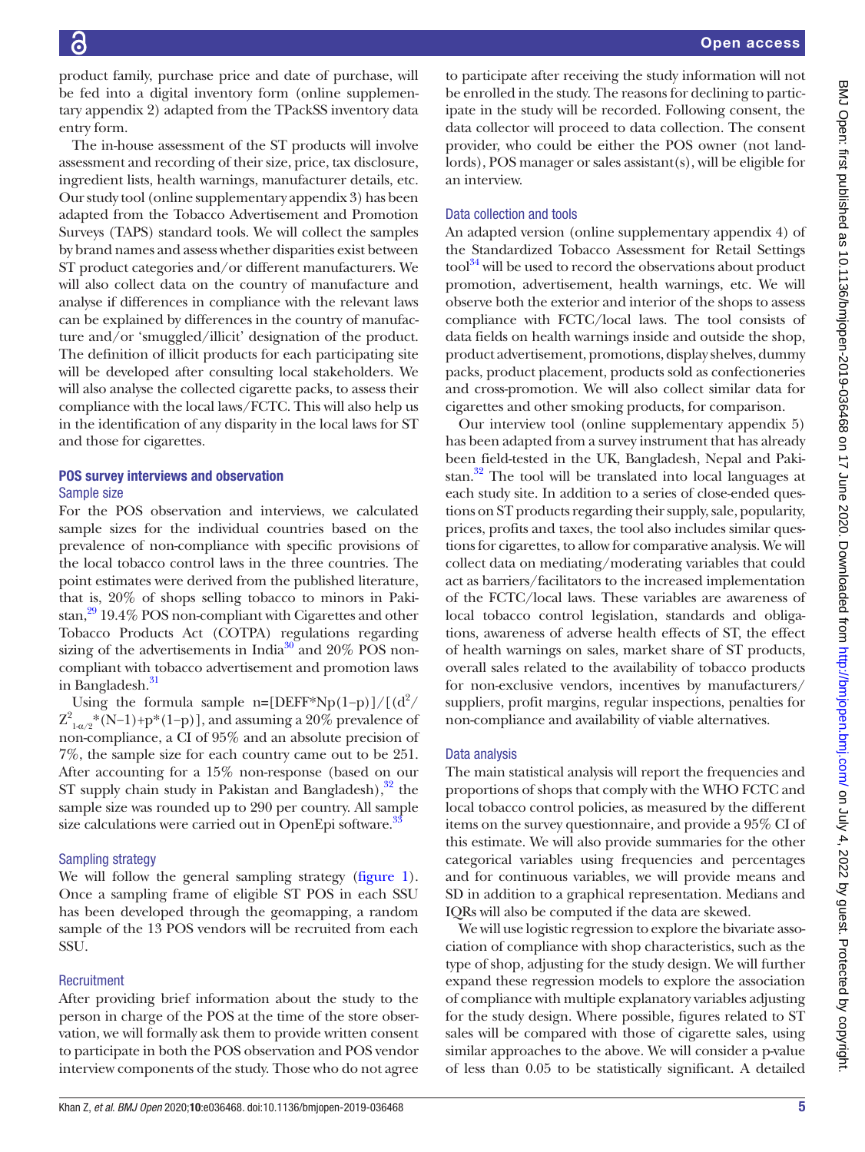Open access

product family, purchase price and date of purchase, will be fed into a digital inventory form [\(online supplemen](https://dx.doi.org/10.1136/bmjopen-2019-036468)[tary appendix 2](https://dx.doi.org/10.1136/bmjopen-2019-036468)) adapted from the TPackSS inventory data entry form. The in-house assessment of the ST products will involve assessment and recording of their size, price, tax disclosure, ingredient lists, health warnings, manufacturer details, etc. Our study tool ([online supplementary appendix 3\)](https://dx.doi.org/10.1136/bmjopen-2019-036468) has been adapted from the Tobacco Advertisement and Promotion Surveys (TAPS) standard tools. We will collect the samples by brand names and assess whether disparities exist between ST product categories and/or different manufacturers. We

will also collect data on the country of manufacture and analyse if differences in compliance with the relevant laws can be explained by differences in the country of manufacture and/or 'smuggled/illicit' designation of the product. The definition of illicit products for each participating site will be developed after consulting local stakeholders. We will also analyse the collected cigarette packs, to assess their compliance with the local laws/FCTC. This will also help us in the identification of any disparity in the local laws for ST and those for cigarettes.

### POS survey interviews and observation Sample size

For the POS observation and interviews, we calculated sample sizes for the individual countries based on the prevalence of non-compliance with specific provisions of the local tobacco control laws in the three countries. The point estimates were derived from the published literature, that is, 20% of shops selling tobacco to minors in Pakistan, $^{29}$  19.4% POS non-compliant with Cigarettes and other Tobacco Products Act (COTPA) regulations regarding sizing of the advertisements in India<sup>[30](#page-6-19)</sup> and  $20\%$  POS noncompliant with tobacco advertisement and promotion laws in Bangladesh.<sup>[31](#page-6-20)</sup>

Using the formula sample n= $[DEF*Np(1-p)]/[(d^2/q)]$  $Z^2_{1\text{-}\alpha/2}$ \*(N−1)+p\*(1−p)], and assuming a 20% prevalence of non-compliance, a CI of 95% and an absolute precision of 7%, the sample size for each country came out to be 251. After accounting for a 15% non-response (based on our ST supply chain study in Pakistan and Bangladesh), $32$  the sample size was rounded up to 290 per country. All sample size calculations were carried out in OpenEpi software.<sup>3</sup>

### Sampling strategy

We will follow the general sampling strategy ([figure](#page-2-0) 1). Once a sampling frame of eligible ST POS in each SSU has been developed through the geomapping, a random sample of the 13 POS vendors will be recruited from each SSU.

### **Recruitment**

After providing brief information about the study to the person in charge of the POS at the time of the store observation, we will formally ask them to provide written consent to participate in both the POS observation and POS vendor interview components of the study. Those who do not agree

### Data collection and tools

An adapted version [\(online supplementary appendix 4](https://dx.doi.org/10.1136/bmjopen-2019-036468)) of the Standardized Tobacco Assessment for Retail Settings tool<sup>34</sup> will be used to record the observations about product promotion, advertisement, health warnings, etc. We will observe both the exterior and interior of the shops to assess compliance with FCTC/local laws. The tool consists of data fields on health warnings inside and outside the shop, product advertisement, promotions, display shelves, dummy packs, product placement, products sold as confectioneries and cross-promotion. We will also collect similar data for cigarettes and other smoking products, for comparison.

Our interview tool [\(online supplementary appendix 5](https://dx.doi.org/10.1136/bmjopen-2019-036468)) has been adapted from a survey instrument that has already been field-tested in the UK, Bangladesh, Nepal and Pakistan.<sup>32</sup> The tool will be translated into local languages at each study site. In addition to a series of close-ended questions on ST products regarding their supply, sale, popularity, prices, profits and taxes, the tool also includes similar questions for cigarettes, to allow for comparative analysis. We will collect data on mediating/moderating variables that could act as barriers/facilitators to the increased implementation of the FCTC/local laws. These variables are awareness of local tobacco control legislation, standards and obligations, awareness of adverse health effects of ST, the effect of health warnings on sales, market share of ST products, overall sales related to the availability of tobacco products for non-exclusive vendors, incentives by manufacturers/ suppliers, profit margins, regular inspections, penalties for non-compliance and availability of viable alternatives.

### Data analysis

The main statistical analysis will report the frequencies and proportions of shops that comply with the WHO FCTC and local tobacco control policies, as measured by the different items on the survey questionnaire, and provide a 95% CI of this estimate. We will also provide summaries for the other categorical variables using frequencies and percentages and for continuous variables, we will provide means and SD in addition to a graphical representation. Medians and IQRs will also be computed if the data are skewed.

We will use logistic regression to explore the bivariate association of compliance with shop characteristics, such as the type of shop, adjusting for the study design. We will further expand these regression models to explore the association of compliance with multiple explanatory variables adjusting for the study design. Where possible, figures related to ST sales will be compared with those of cigarette sales, using similar approaches to the above. We will consider a p-value of less than 0.05 to be statistically significant. A detailed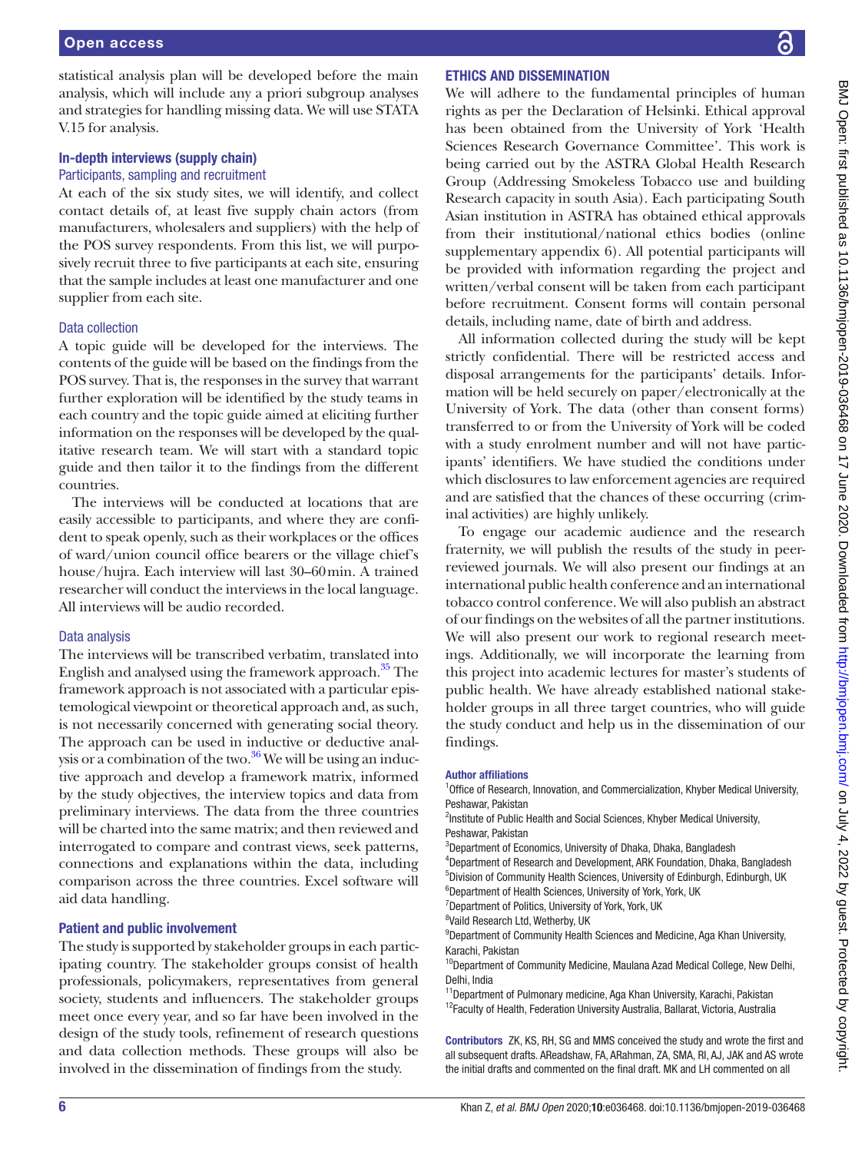statistical analysis plan will be developed before the main analysis, which will include any a priori subgroup analyses and strategies for handling missing data. We will use STATA V.15 for analysis.

### In-depth interviews (supply chain) Participants, sampling and recruitment

At each of the six study sites, we will identify, and collect contact details of, at least five supply chain actors (from manufacturers, wholesalers and suppliers) with the help of the POS survey respondents. From this list, we will purposively recruit three to five participants at each site, ensuring that the sample includes at least one manufacturer and one supplier from each site.

### Data collection

A topic guide will be developed for the interviews. The contents of the guide will be based on the findings from the POS survey. That is, the responses in the survey that warrant further exploration will be identified by the study teams in each country and the topic guide aimed at eliciting further information on the responses will be developed by the qualitative research team. We will start with a standard topic guide and then tailor it to the findings from the different countries.

The interviews will be conducted at locations that are easily accessible to participants, and where they are confident to speak openly, such as their workplaces or the offices of ward/union council office bearers or the village chief's house/hujra. Each interview will last 30–60min. A trained researcher will conduct the interviews in the local language. All interviews will be audio recorded.

### Data analysis

The interviews will be transcribed verbatim, translated into English and analysed using the framework approach.<sup>35</sup> The framework approach is not associated with a particular epistemological viewpoint or theoretical approach and, as such, is not necessarily concerned with generating social theory. The approach can be used in inductive or deductive analysis or a combination of the two. $36$  We will be using an inductive approach and develop a framework matrix, informed by the study objectives, the interview topics and data from preliminary interviews. The data from the three countries will be charted into the same matrix; and then reviewed and interrogated to compare and contrast views, seek patterns, connections and explanations within the data, including comparison across the three countries. Excel software will aid data handling.

### Patient and public involvement

The study is supported by stakeholder groups in each participating country. The stakeholder groups consist of health professionals, policymakers, representatives from general society, students and influencers. The stakeholder groups meet once every year, and so far have been involved in the design of the study tools, refinement of research questions and data collection methods. These groups will also be involved in the dissemination of findings from the study.

### Ethics and dissemination

We will adhere to the fundamental principles of human rights as per the Declaration of Helsinki. Ethical approval has been obtained from the University of York 'Health Sciences Research Governance Committee'. This work is being carried out by the ASTRA Global Health Research Group (Addressing Smokeless Tobacco use and building Research capacity in south Asia). Each participating South Asian institution in ASTRA has obtained ethical approvals from their institutional/national ethics bodies [\(online](https://dx.doi.org/10.1136/bmjopen-2019-036468)  [supplementary appendix 6](https://dx.doi.org/10.1136/bmjopen-2019-036468)). All potential participants will be provided with information regarding the project and written/verbal consent will be taken from each participant before recruitment. Consent forms will contain personal details, including name, date of birth and address.

All information collected during the study will be kept strictly confidential. There will be restricted access and disposal arrangements for the participants' details. Information will be held securely on paper/electronically at the University of York. The data (other than consent forms) transferred to or from the University of York will be coded with a study enrolment number and will not have participants' identifiers. We have studied the conditions under which disclosures to law enforcement agencies are required and are satisfied that the chances of these occurring (criminal activities) are highly unlikely.

To engage our academic audience and the research fraternity, we will publish the results of the study in peerreviewed journals. We will also present our findings at an international public health conference and an international tobacco control conference. We will also publish an abstract of our findings on the websites of all the partner institutions. We will also present our work to regional research meetings. Additionally, we will incorporate the learning from this project into academic lectures for master's students of public health. We have already established national stakeholder groups in all three target countries, who will guide the study conduct and help us in the dissemination of our findings.

### Author affiliations

<sup>1</sup> Office of Research, Innovation, and Commercialization, Khyber Medical University, Peshawar, Pakistan

<sup>2</sup>Institute of Public Health and Social Sciences, Khyber Medical University, Peshawar, Pakistan

3 Department of Economics, University of Dhaka, Dhaka, Bangladesh

4 Department of Research and Development, ARK Foundation, Dhaka, Bangladesh <sup>5</sup>Division of Community Health Sciences, University of Edinburgh, Edinburgh, UK <sup>6</sup>Department of Health Sciences, University of York, York, UK

<sup>7</sup>Department of Politics, University of York, York, UK

<sup>8</sup>Vaild Research Ltd, Wetherby, UK

<sup>9</sup>Department of Community Health Sciences and Medicine, Aga Khan University, Karachi, Pakistan

<sup>10</sup>Department of Community Medicine, Maulana Azad Medical College, New Delhi, Delhi, India

<sup>11</sup> Department of Pulmonary medicine, Aga Khan University, Karachi, Pakistan <sup>12</sup>Faculty of Health, Federation University Australia, Ballarat, Victoria, Australia

Contributors ZK, KS, RH, SG and MMS conceived the study and wrote the first and all subsequent drafts. AReadshaw, FA, ARahman, ZA, SMA, RI, AJ, JAK and AS wrote the initial drafts and commented on the final draft. MK and LH commented on all